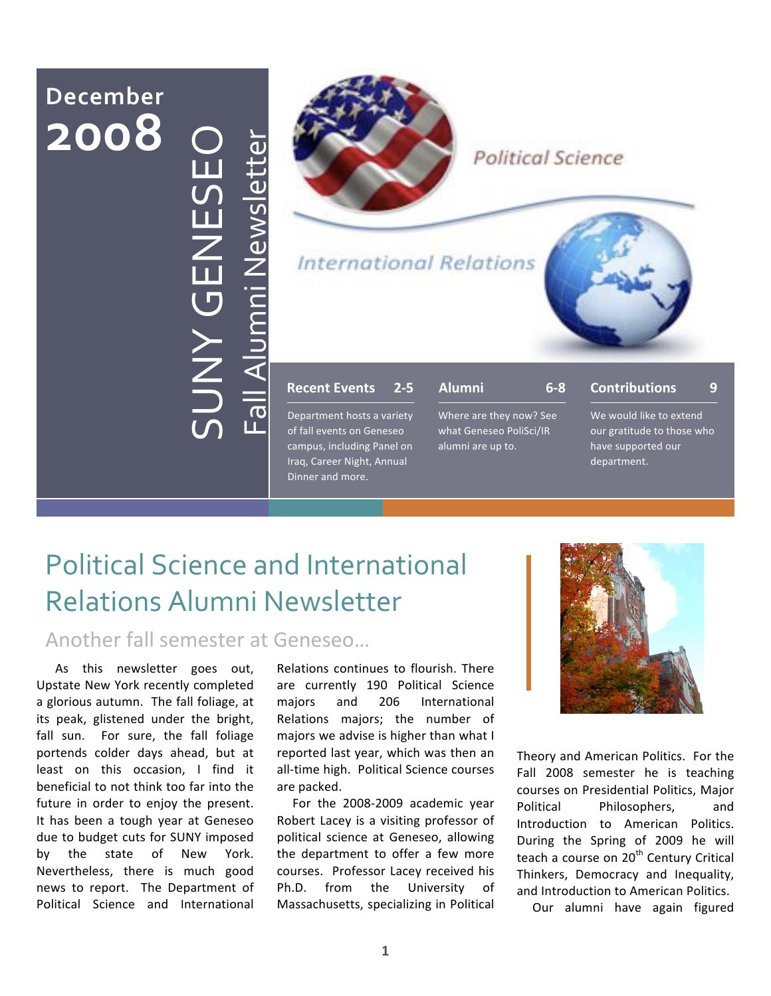# **December 2008** SUNY
GENESEO **NAY GEN**



#### Political Science

**International Relations** 



#### **Recent
Events 2‐5**

Department hosts a variety of fall events on Geneseo campus, including Panel on Iraq, Career Night, Annual Dinner and more.

| Alumni | $6 - 8$ |
|--------|---------|
|--------|---------|

Where are they now? See what Geneseo PoliSci/IR alumni are up to.

#### **Contributions 9**

We would like to extend our gratitude to those who have supported our department.

## Political
Science
and
International Relations
Alumni
Newsletter

 $\mathbf{L}% _{t}\left( t\right)$ 

all Alu

E

Z<br>Ei

 $\bf \Phi$  $\bm{\gtrless}$ 

sle  $\overline{\phantom{a}}$  $\overline{\phantom{a}}$  $\bf \Phi$  $\mathbf{r}$ 

Another
fall
semester
at
Geneseo…

As this newsletter goes out, Upstate New York recently completed a glorious autumn. The fall foliage, at its peak, glistened under the bright, fall sun. For sure, the fall foliage portends colder days ahead, but at least on this occasion, I find it beneficial to not think too far into the future in order to enjoy the present. It has been a tough year at Geneseo due to budget cuts for SUNY imposed by the state of New York. Nevertheless, there is much good news to report. The Department of Political Science and International

Relations continues to flourish. There are currently 190 Political Science majors and 206 International Relations majors; the number of majors we advise is higher than what I reported last year, which was then an all‐time high. Political Science courses are packed.

For the 2008‐2009 academic year Robert Lacey is a visiting professor of political science at Geneseo, allowing the department to offer a few more courses. Professor Lacey received his Ph.D. from the University of Massachusetts, specializing in Political



Theory and American Politics. For the Fall 2008 semester he is teaching courses on Presidential Politics, Major Political Philosophers, and Introduction to American Politics. During the Spring of 2009 he will teach a course on 20<sup>th</sup> Century Critical Thinkers, Democracy and Inequality, and Introduction to American Politics.

Our alumni have again figured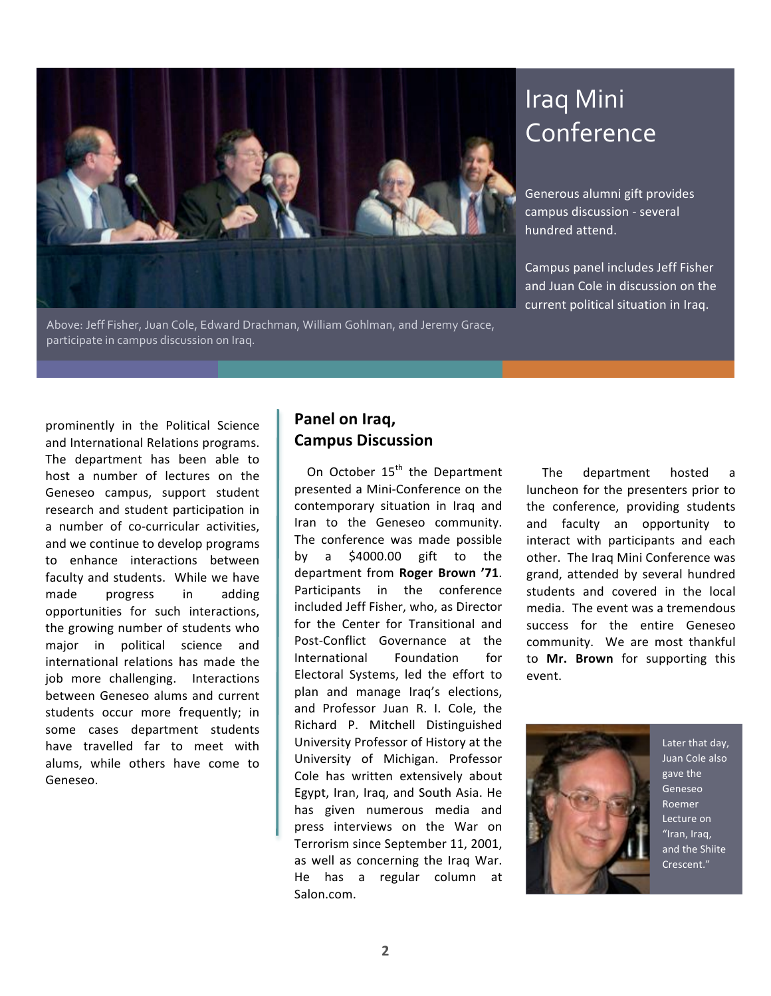

Above: Jeff Fisher, Juan Cole, Edward Drachman, William Gohlman, and Jeremy Grace, participate in campus discussion on Iraq.

## Iraq Mini Conference

Generous alumni gift provides campus discussion ‐ several hundred attend.

Campus panel includes Jeff Fisher and Juan Cole in discussion on the current political situation in Iraq.

prominently in the Political Science and International Relations programs. The department has been able to host a number of lectures on the Geneseo campus, support student research and student participation in a number of co-curricular activities, and we continue to develop programs to enhance interactions between faculty and students. While we have made progress in adding opportunities for such interactions, the growing number of students who major in political science and international relations has made the job more challenging. Interactions between Geneseo alums and current students occur more frequently; in some cases department students have travelled far to meet with alums, while others have come to Geneseo.

#### **Panel on Iraq, Campus Discussion**

On October 15<sup>th</sup> the Department presented a Mini‐Conference on the contemporary situation in Iraq and Iran to the Geneseo community. The conference was made possible by a \$4000.00 gift to the department from **Roger Brown '71**. Participants in the conference included Jeff Fisher, who, as Director for the Center for Transitional and Post‐Conflict Governance at the International Foundation for Electoral Systems, led the effort to plan and manage Iraq's elections, and Professor Juan R. I. Cole, the Richard P. Mitchell Distinguished University Professor of History at the University of Michigan. Professor Cole has written extensively about Egypt, Iran, Iraq, and South Asia. He has given numerous media and press interviews on the War on Terrorism since September 11, 2001, as well as concerning the Iraq War. He has a regular column at Salon.com.

The department hosted a luncheon for the presenters prior to the conference, providing students and faculty an opportunity to interact with participants and each other. The Iraq Mini Conference was grand, attended by several hundred students and covered in the local media. The event was a tremendous success for the entire Geneseo community. We are most thankful to **Mr. Brown** for supporting this event.



Later that day, Juan Cole also gave the Geneseo Roemer Lecture on "Iran, Iraq, and the Shiite Crescent."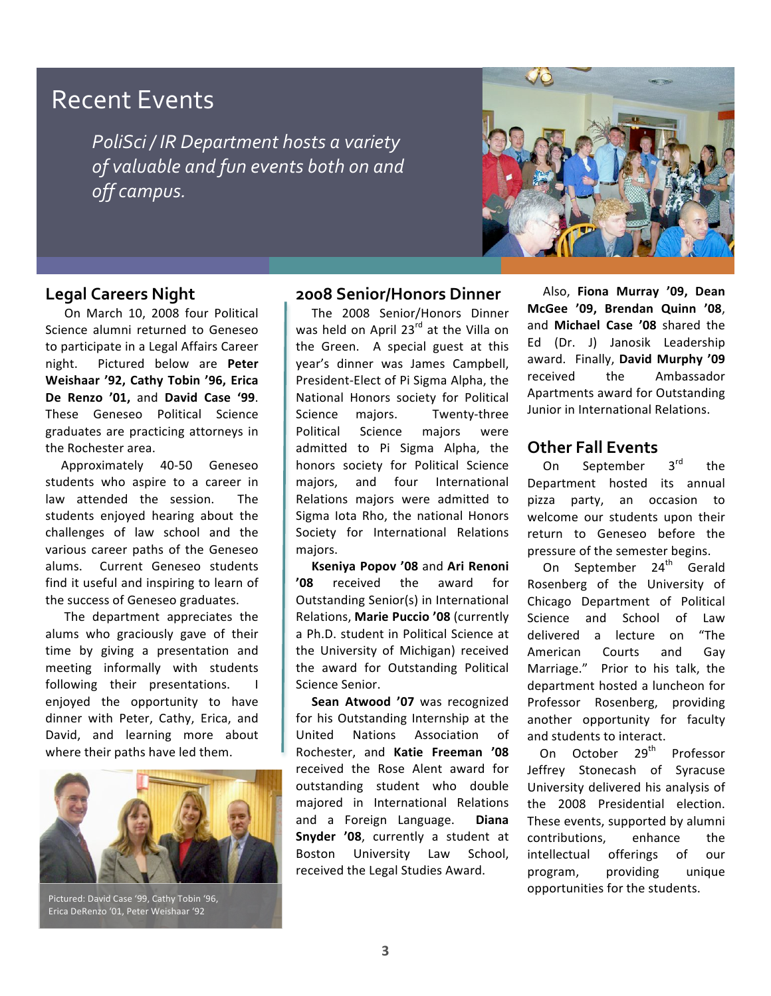### Recent Events

*PoliSci / IR Department hosts a variety of valuable and fun events both on and off campus.*



#### **Legal Careers Night**

 On March 10, 2008 four Political Science alumni returned to Geneseo to participate in a Legal Affairs Career night. Pictured below are **Peter Weishaar '92, Cathy Tobin '96, Erica De Renzo '01,** and **David Case '99**. These Geneseo Political Science graduates are practicing attorneys in the Rochester area.

Approximately 40‐50 Geneseo students who aspire to a career in law attended the session. The students enjoyed hearing about the challenges of law school and the various career paths of the Geneseo alums. Current Geneseo students find it useful and inspiring to learn of the success of Geneseo graduates.

The department appreciates the alums who graciously gave of their time by giving a presentation and meeting informally with students following their presentations. enjoyed the opportunity to have dinner with Peter, Cathy, Erica, and David, and learning more about where their paths have led them.



Pictured: David Case '99, Cathy Tobin '96, Erica DeRenzo '01, Peter Weishaar '92

#### **2008 Senior/Honors Dinner**

The 2008 Senior/Honors Dinner was held on April 23<sup>rd</sup> at the Villa on the Green. A special guest at this year's dinner was James Campbell, President‐Elect of Pi Sigma Alpha, the National Honors society for Political Science majors. Twenty-three Political Science majors were admitted to Pi Sigma Alpha, the honors society for Political Science majors, and four International Relations majors were admitted to Sigma Iota Rho, the national Honors Society for International Relations majors.

**Kseniya Popov '08** and **Ari Renoni '08** received the award for Outstanding Senior(s) in International Relations, **Marie Puccio '08** (currently a Ph.D. student in Political Science at the University of Michigan) received the award for Outstanding Political Science Senior.

**Sean Atwood '07** was recognized for his Outstanding Internship at the United Nations Association of Rochester, and **Katie Freeman '08** received the Rose Alent award for outstanding student who double majored in International Relations and a Foreign Language. **Diana Snyder '08**, currently a student at Boston University Law School, received the Legal Studies Award.

Also, **Fiona Murray '09, Dean McGee '09, Brendan Quinn '08**, and **Michael Case '08** shared the Ed (Dr. J) Janosik Leadership award. Finally, **David Murphy '09** received the Ambassador Apartments award for Outstanding Junior in International Relations.

#### **Other Fall Events**

On September 3<sup>rd</sup> the Department hosted its annual pizza party, an occasion to welcome our students upon their return to Geneseo before the pressure of the semester begins.

On September 24<sup>th</sup> Gerald Rosenberg of the University of Chicago Department of Political Science and School of Law delivered a lecture on "The American Courts and Gay Marriage." Prior to his talk, the department hosted a luncheon for Professor Rosenberg, providing another opportunity for faculty and students to interact.

On October 29<sup>th</sup> Professor Jeffrey Stonecash of Syracuse University delivered his analysis of the 2008 Presidential election. These events, supported by alumni contributions, enhance the intellectual offerings of our program, providing unique opportunities for the students.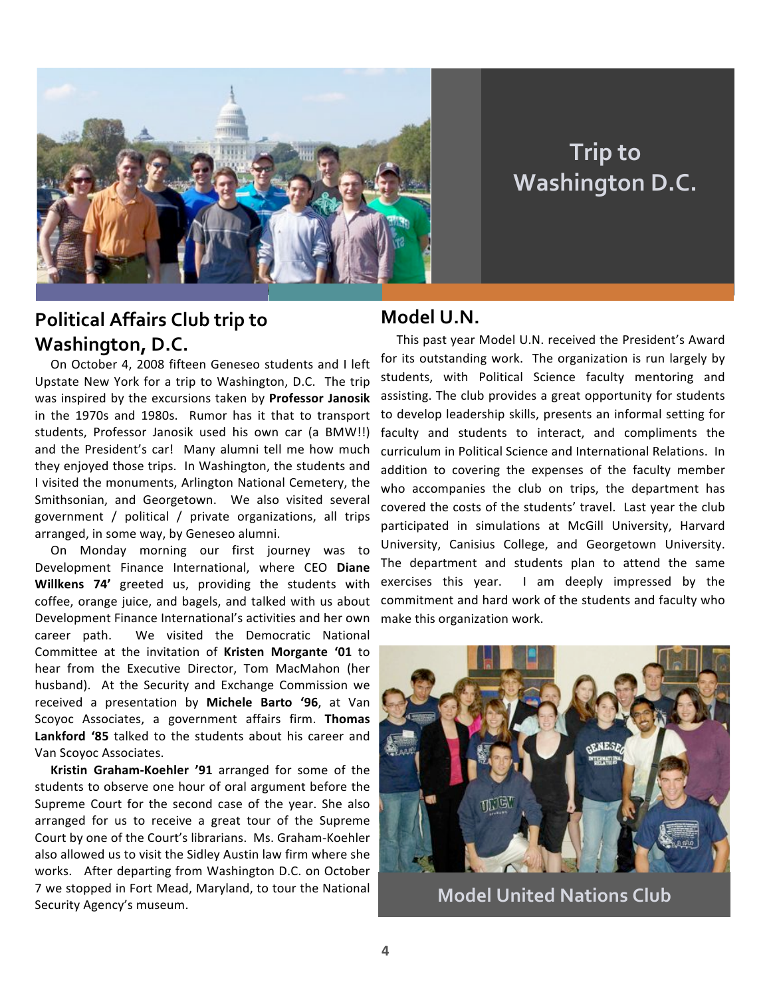

## **Trip to Washington D.C.**

#### **Political Affairs Club trip to Washington, D.C.**

On October 4, 2008 fifteen Geneseo students and I left Upstate New York for a trip to Washington, D.C. The trip was inspired by the excursions taken by **Professor Janosik** in the 1970s and 1980s. Rumor has it that to transport students, Professor Janosik used his own car (a BMW!!) and the President's car! Many alumni tell me how much they enjoyed those trips. In Washington, the students and I visited the monuments, Arlington National Cemetery, the Smithsonian, and Georgetown. We also visited several government / political / private organizations, all trips arranged, in some way, by Geneseo alumni.

On Monday morning our first journey was to Development Finance International, where CEO **Diane Willkens 74'** greeted us, providing the students with coffee, orange juice, and bagels, and talked with us about Development Finance International's activities and her own career path. We visited the Democratic National Committee at the invitation of **Kristen Morgante '01** to hear from the Executive Director, Tom MacMahon (her husband). At the Security and Exchange Commission we received a presentation by **Michele Barto '96**, at Van Scoyoc Associates, a government affairs firm. **Thomas Lankford '85** talked to the students about his career and Van Scoyoc Associates.

**Kristin Graham‐Koehler '91** arranged for some of the students to observe one hour of oral argument before the Supreme Court for the second case of the year. She also arranged for us to receive a great tour of the Supreme Court by one of the Court's librarians. Ms. Graham‐Koehler also allowed us to visit the Sidley Austin law firm where she works. After departing from Washington D.C. on October 7 we stopped in Fort Mead, Maryland, to tour the National Security Agency's museum.

#### **Model U.N.**

This past year Model U.N. received the President's Award for its outstanding work. The organization is run largely by students, with Political Science faculty mentoring and assisting. The club provides a great opportunity for students to develop leadership skills, presents an informal setting for faculty and students to interact, and compliments the curriculum in Political Science and International Relations. In addition to covering the expenses of the faculty member who accompanies the club on trips, the department has covered the costs of the students' travel. Last year the club participated in simulations at McGill University, Harvard University, Canisius College, and Georgetown University. The department and students plan to attend the same exercises this year. I am deeply impressed by the commitment and hard work of the students and faculty who make this organization work.



**Model United Nations Club**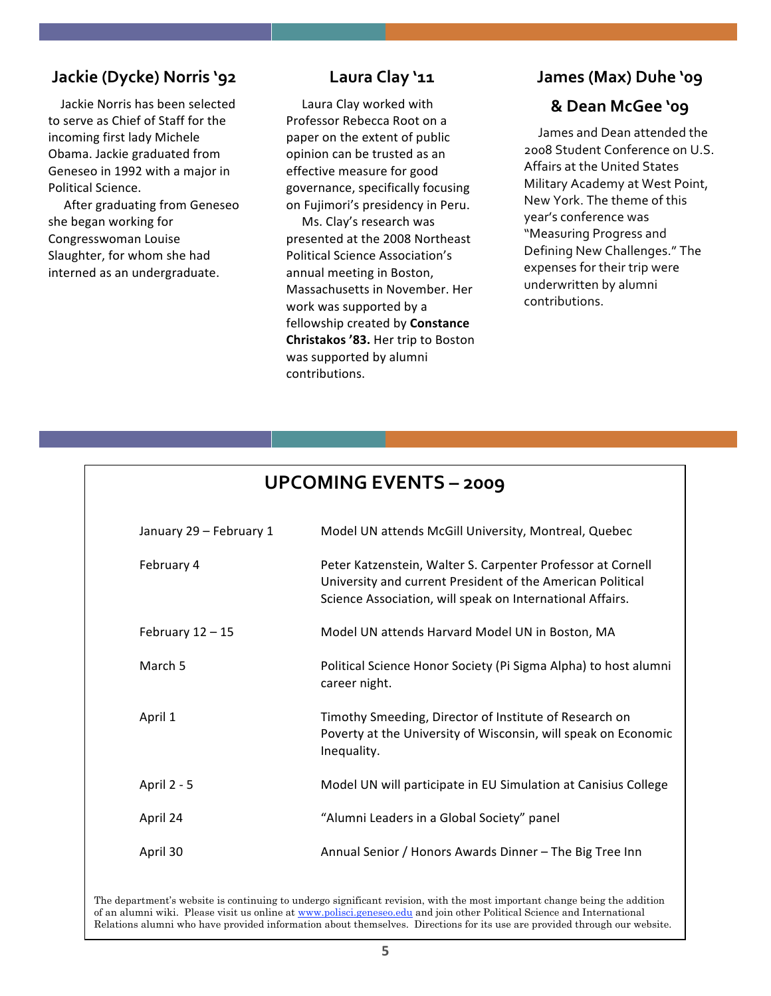#### **Jackie (Dycke) Norris '92**

Jackie Norris has been selected to serve as Chief of Staff for the incoming first lady Michele Obama. Jackie graduated from Geneseo in 1992 with a major in Political Science.

After graduating from Geneseo she began working for Congresswoman Louise Slaughter, for whom she had interned as an undergraduate.

#### **Laura Clay '11**

Laura Clay worked with Professor Rebecca Root on a paper on the extent of public opinion can be trusted as an effective measure for good governance, specifically focusing on Fujimori's presidency in Peru.

Ms. Clay's research was presented at the 2008 Northeast Political Science Association's annual meeting in Boston, Massachusetts in November. Her work was supported by a fellowship created by **Constance Christakos '83.** Her trip to Boston was supported by alumni contributions.

#### **James (Max) Duhe '09**

#### **& Dean McGee '09**

James and Dean attended the 2008 Student Conference on U.S. Affairs at the United States Military Academy at West Point, New York. The theme of this year's conference was "Measuring Progress and Defining New Challenges." The expenses for their trip were underwritten by alumni contributions.

|  | <b>UPCOMING EVENTS - 2009</b> |
|--|-------------------------------|
|--|-------------------------------|

| January 29 - February 1 | Model UN attends McGill University, Montreal, Quebec                                                                                                                                   |
|-------------------------|----------------------------------------------------------------------------------------------------------------------------------------------------------------------------------------|
| February 4              | Peter Katzenstein, Walter S. Carpenter Professor at Cornell<br>University and current President of the American Political<br>Science Association, will speak on International Affairs. |
| February $12 - 15$      | Model UN attends Harvard Model UN in Boston, MA                                                                                                                                        |
| March 5                 | Political Science Honor Society (Pi Sigma Alpha) to host alumni<br>career night.                                                                                                       |
| April 1                 | Timothy Smeeding, Director of Institute of Research on<br>Poverty at the University of Wisconsin, will speak on Economic<br>Inequality.                                                |
| April 2 - 5             | Model UN will participate in EU Simulation at Canisius College                                                                                                                         |
| April 24                | "Alumni Leaders in a Global Society" panel                                                                                                                                             |
| April 30                | Annual Senior / Honors Awards Dinner - The Big Tree Inn                                                                                                                                |

The department's website is continuing to undergo significant revision, with the most important change being the addition of an alumni wiki. Please visit us online at www.polisci.geneseo.edu and join other Political Science and International Relations alumni who have provided information about themselves. Directions for its use are provided through our website.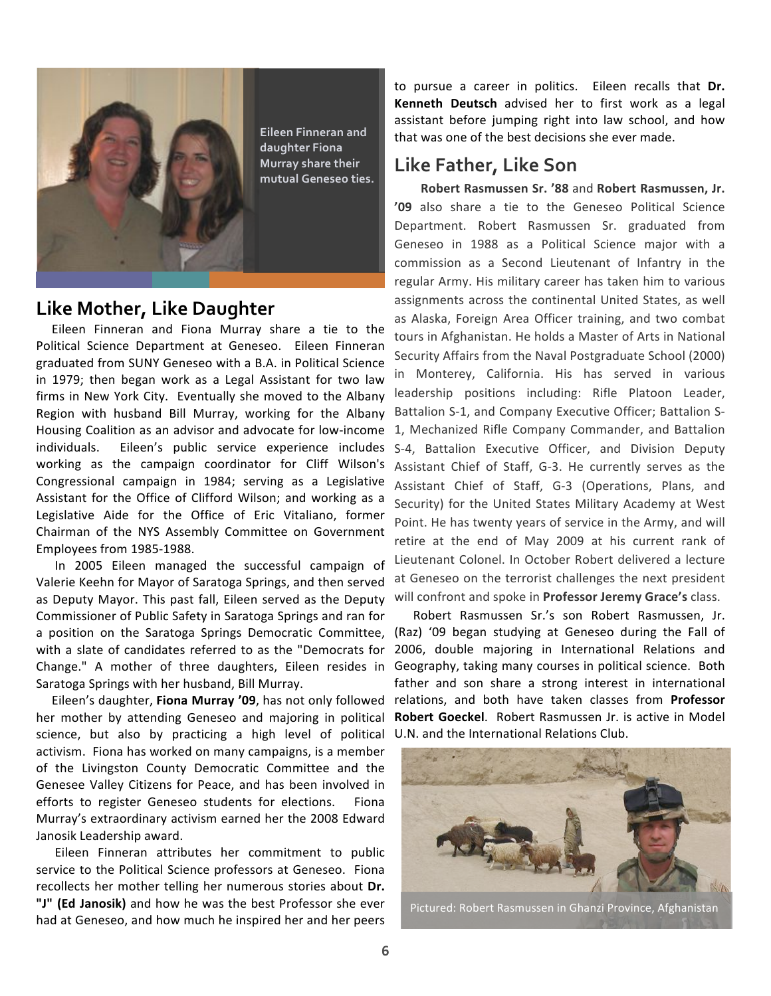

**Eileen Finneran and daughter Fiona Murray share their mutual Geneseo ties.**

#### **Like Mother, Like Daughter**

Eileen Finneran and Fiona Murray share a tie to the Political Science Department at Geneseo. Eileen Finneran graduated from SUNY Geneseo with a B.A. in Political Science in 1979; then began work as a Legal Assistant for two law firms in New York City. Eventually she moved to the Albany Region with husband Bill Murray, working for the Albany Housing Coalition as an advisor and advocate for low‐income individuals. Eileen's public service experience includes working as the campaign coordinator for Cliff Wilson's Congressional campaign in 1984; serving as a Legislative Assistant for the Office of Clifford Wilson; and working as a Legislative Aide for the Office of Eric Vitaliano, former Chairman of the NYS Assembly Committee on Government Employees from 1985‐1988.

In 2005 Eileen managed the successful campaign of Valerie Keehn for Mayor of Saratoga Springs, and then served as Deputy Mayor. This past fall, Eileen served as the Deputy Commissioner of Public Safety in Saratoga Springs and ran for a position on the Saratoga Springs Democratic Committee, with a slate of candidates referred to as the "Democrats for Change." A mother of three daughters, Eileen resides in Geography, taking many courses in political science. Both Saratoga Springs with her husband, Bill Murray.

her mother by attending Geneseo and majoring in political science, but also by practicing a high level of political U.N. and the International Relations Club. activism. Fiona has worked on many campaigns, is a member of the Livingston County Democratic Committee and the Genesee Valley Citizens for Peace, and has been involved in efforts to register Geneseo students for elections. Fiona Murray's extraordinary activism earned her the 2008 Edward Janosik Leadership award.

Eileen Finneran attributes her commitment to public service to the Political Science professors at Geneseo. Fiona recollects her mother telling her numerous stories about **Dr. "J" (Ed Janosik)** and how he was the best Professor she ever had at Geneseo, and how much he inspired her and her peers

to pursue a career in politics. Eileen recalls that **Dr. Kenneth Deutsch** advised her to first work as a legal assistant before jumping right into law school, and how that was one of the best decisions she ever made.

#### **Like Father, Like Son**

 **Robert Rasmussen Sr. '88** and **Robert Rasmussen, Jr. '09** also share a tie to the Geneseo Political Science Department. Robert Rasmussen Sr. graduated from Geneseo in 1988 as a Political Science major with a commission as a Second Lieutenant of Infantry in the regular Army. His military career has taken him to various assignments across the continental United States, as well as Alaska, Foreign Area Officer training, and two combat tours in Afghanistan. He holds a Master of Arts in National Security Affairs from the Naval Postgraduate School (2000) in Monterey, California. His has served in various leadership positions including: Rifle Platoon Leader, Battalion S‐1, and Company Executive Officer; Battalion S‐ 1, Mechanized Rifle Company Commander, and Battalion S‐4, Battalion Executive Officer, and Division Deputy Assistant Chief of Staff, G‐3. He currently serves as the Assistant Chief of Staff, G‐3 (Operations, Plans, and Security) for the United States Military Academy at West Point. He has twenty years of service in the Army, and will retire at the end of May 2009 at his current rank of Lieutenant Colonel. In October Robert delivered a lecture at Geneseo on the terrorist challenges the next president will confront and spoke in **Professor Jeremy Grace's** class.

Eileen's daughter, Fiona Murray '09, has not only followed relations, and both have taken classes from Professor Robert Rasmussen Sr.'s son Robert Rasmussen, Jr. (Raz) '09 began studying at Geneseo during the Fall of 2006, double majoring in International Relations and father and son share a strong interest in international **Robert Goeckel**. Robert Rasmussen Jr. is active in Model



Pictured: Robert Rasmussen in Ghanzi Province, Afghanistan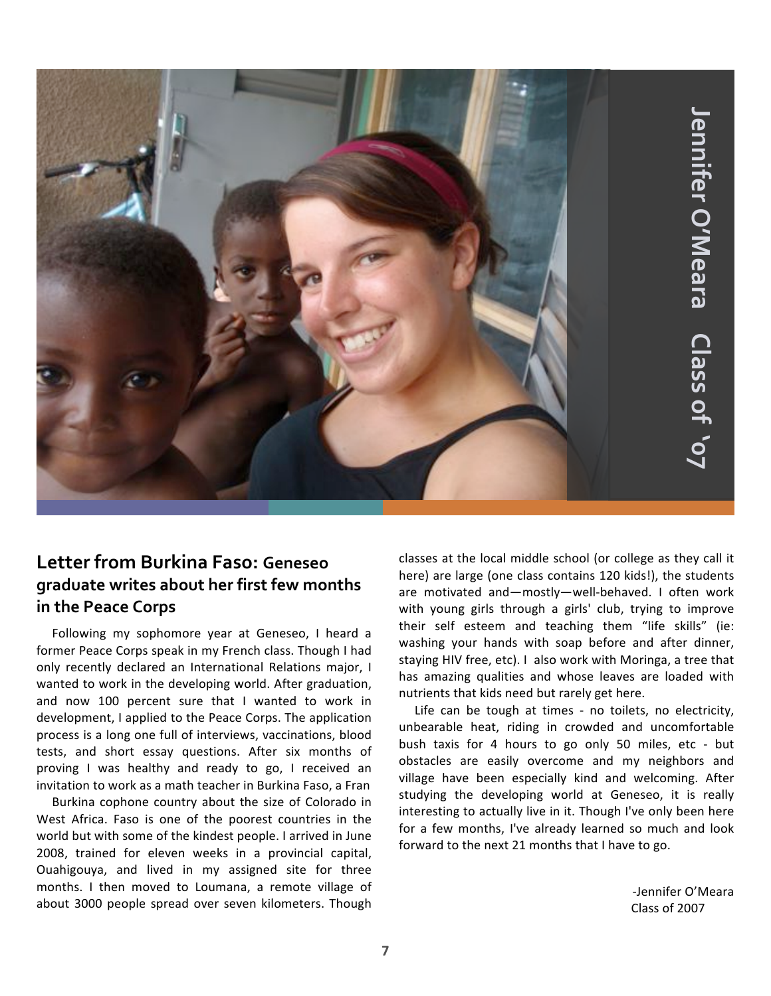

#### **Letter from Burkina Faso: Geneseo graduate writes about her first few months in the Peace Corps**

Following my sophomore year at Geneseo, I heard a former Peace Corps speak in my French class. Though I had only recently declared an International Relations major, I wanted to work in the developing world. After graduation, and now 100 percent sure that I wanted to work in development, I applied to the Peace Corps. The application process is a long one full of interviews, vaccinations, blood tests, and short essay questions. After six months of proving I was healthy and ready to go, I received an invitation to work as a math teacher in Burkina Faso, a Fran

Burkina cophone country about the size of Colorado in West Africa. Faso is one of the poorest countries in the world but with some of the kindest people. I arrived in June 2008, trained for eleven weeks in a provincial capital, Ouahigouya, and lived in my assigned site for three months. I then moved to Loumana, a remote village of about 3000 people spread over seven kilometers. Though

classes at the local middle school (or college as they call it here) are large (one class contains 120 kids!), the students are motivated and—mostly—well‐behaved. I often work with young girls through a girls' club, trying to improve their self esteem and teaching them "life skills" (ie: washing your hands with soap before and after dinner, staying HIV free, etc). I also work with Moringa, a tree that has amazing qualities and whose leaves are loaded with nutrients that kids need but rarely get here.

Life can be tough at times ‐ no toilets, no electricity, unbearable heat, riding in crowded and uncomfortable bush taxis for 4 hours to go only 50 miles, etc ‐ but obstacles are easily overcome and my neighbors and village have been especially kind and welcoming. After studying the developing world at Geneseo, it is really interesting to actually live in it. Though I've only been here for a few months, I've already learned so much and look forward to the next 21 months that I have to go.

> ‐Jennifer O'Meara Class of 2007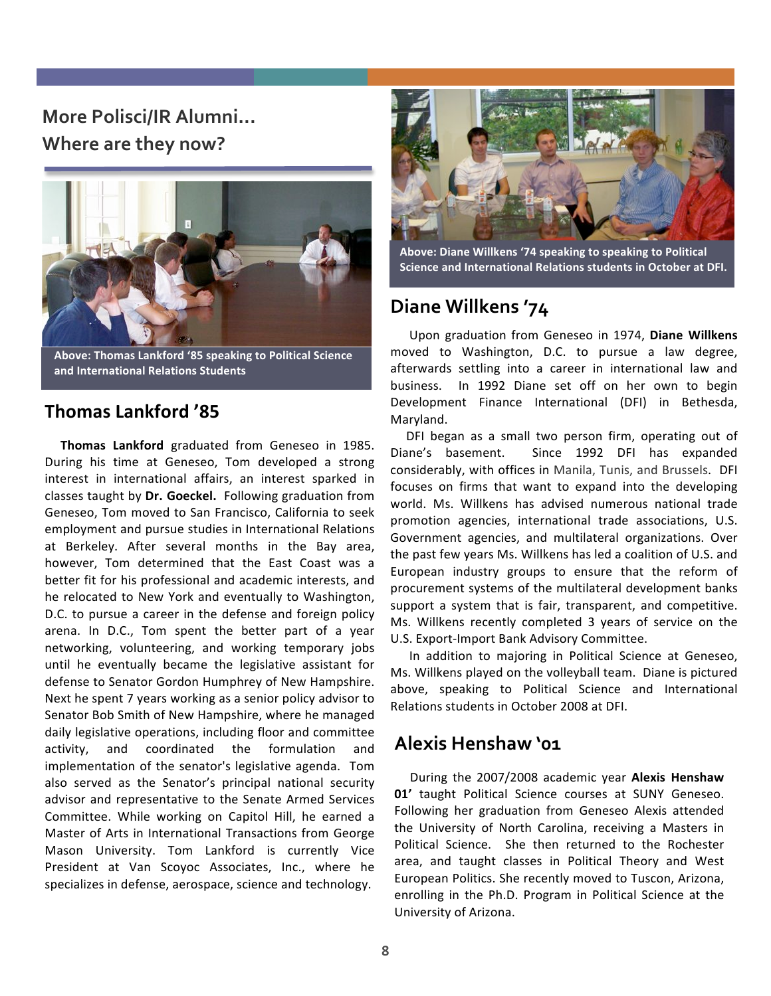#### **More Polisci/IR Alumni... Where are they now?**



**Above: Thomas Lankford '85 speaking to Political Science and International Relations Students**

#### **Thomas Lankford '85**

**Thomas Lankford** graduated from Geneseo in 1985. During his time at Geneseo, Tom developed a strong interest in international affairs, an interest sparked in classes taught by **Dr. Goeckel.** Following graduation from Geneseo, Tom moved to San Francisco, California to seek employment and pursue studies in International Relations at Berkeley. After several months in the Bay area, however, Tom determined that the East Coast was a better fit for his professional and academic interests, and he relocated to New York and eventually to Washington, D.C. to pursue a career in the defense and foreign policy arena. In D.C., Tom spent the better part of a year networking, volunteering, and working temporary jobs until he eventually became the legislative assistant for defense to Senator Gordon Humphrey of New Hampshire. Next he spent 7 years working as a senior policy advisor to Senator Bob Smith of New Hampshire, where he managed daily legislative operations, including floor and committee activity, and coordinated the formulation and implementation of the senator's legislative agenda. Tom also served as the Senator's principal national security advisor and representative to the Senate Armed Services Committee. While working on Capitol Hill, he earned a Master of Arts in International Transactions from George Mason University. Tom Lankford is currently Vice President at Van Scoyoc Associates, Inc., where he specializes in defense, aerospace, science and technology.



**Above: Diane Willkens '74 speaking to speaking to Political Science and International Relations students in October at DFI.**

#### **Diane Willkens '74**

 Upon graduation from Geneseo in 1974, **Diane Willkens** moved to Washington, D.C. to pursue a law degree, afterwards settling into a career in international law and business. In 1992 Diane set off on her own to begin Development Finance International (DFI) in Bethesda, Maryland.

DFI began as a small two person firm, operating out of Diane's basement. Since 1992 DFI has expanded considerably, with offices in Manila, Tunis, and Brussels. DFI focuses on firms that want to expand into the developing world. Ms. Willkens has advised numerous national trade promotion agencies, international trade associations, U.S. Government agencies, and multilateral organizations. Over the past few years Ms. Willkens has led a coalition of U.S. and European industry groups to ensure that the reform of procurement systems of the multilateral development banks support a system that is fair, transparent, and competitive. Ms. Willkens recently completed 3 years of service on the U.S. Export‐Import Bank Advisory Committee.

In addition to majoring in Political Science at Geneseo, Ms. Willkens played on the volleyball team. Diane is pictured above, speaking to Political Science and International Relations students in October 2008 at DFI.

#### **Alexis Henshaw '01**

During the 2007/2008 academic year **Alexis Henshaw 01'** taught Political Science courses at SUNY Geneseo. Following her graduation from Geneseo Alexis attended the University of North Carolina, receiving a Masters in Political Science. She then returned to the Rochester area, and taught classes in Political Theory and West European Politics. She recently moved to Tuscon, Arizona, enrolling in the Ph.D. Program in Political Science at the University of Arizona.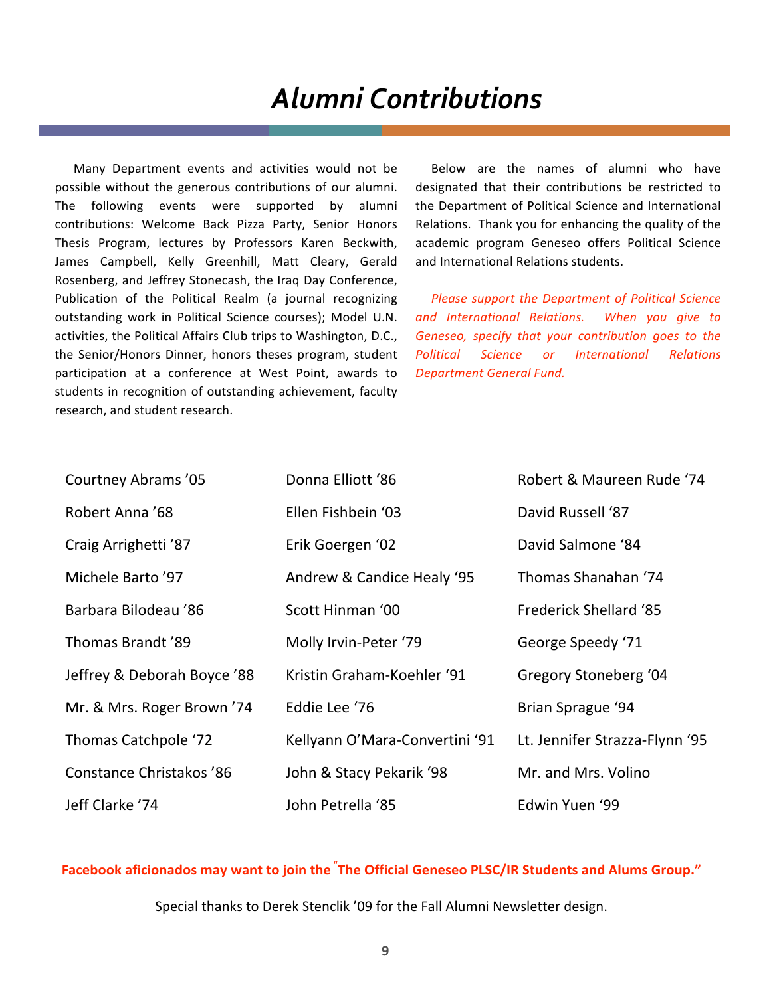## *Alumni
Contributions*

Many Department events and activities would not be possible without the generous contributions of our alumni. The following events were supported by alumni contributions: Welcome Back Pizza Party, Senior Honors Thesis Program, lectures by Professors Karen Beckwith, James Campbell, Kelly Greenhill, Matt Cleary, Gerald Rosenberg, and Jeffrey Stonecash, the Iraq Day Conference, Publication of the Political Realm (a journal recognizing outstanding work in Political Science courses); Model U.N. activities, the Political Affairs Club trips to Washington, D.C., the Senior/Honors Dinner, honors theses program, student participation at a conference at West Point, awards to students in recognition of outstanding achievement, faculty research, and student research.

Below are the names of alumni who have designated that their contributions be restricted to the Department of Political Science and International Relations. Thank you for enhancing the quality of the academic program Geneseo offers Political Science and International Relations students.

*Please support the Department of Political Science and International Relations. When you give to Geneseo, specify that your contribution goes to the Political Science or International Relations Department General Fund.*

| Courtney Abrams '05         | Donna Elliott '86              | Robert & Maureen Rude '74      |
|-----------------------------|--------------------------------|--------------------------------|
| Robert Anna '68             | Ellen Fishbein '03             | David Russell '87              |
| Craig Arrighetti '87        | Erik Goergen '02               | David Salmone '84              |
| Michele Barto '97           | Andrew & Candice Healy '95     | Thomas Shanahan '74            |
| Barbara Bilodeau '86        | Scott Hinman '00               | <b>Frederick Shellard '85</b>  |
| Thomas Brandt '89           | Molly Irvin-Peter '79          | George Speedy '71              |
| Jeffrey & Deborah Boyce '88 | Kristin Graham-Koehler '91     | Gregory Stoneberg '04          |
| Mr. & Mrs. Roger Brown '74  | Eddie Lee '76                  | Brian Sprague '94              |
| Thomas Catchpole '72        | Kellyann O'Mara-Convertini '91 | Lt. Jennifer Strazza-Flynn '95 |
| Constance Christakos '86    | John & Stacy Pekarik '98       | Mr. and Mrs. Volino            |
| Jeff Clarke '74             | John Petrella '85              | Edwin Yuen '99                 |

**Facebook aficionados may want to join the <sup>"</sup>The Official Geneseo PLSC/IR Students and Alums Group."** 

Special
thanks
to
Derek
Stenclik
'09
for
the
Fall
Alumni
Newsletter
design.